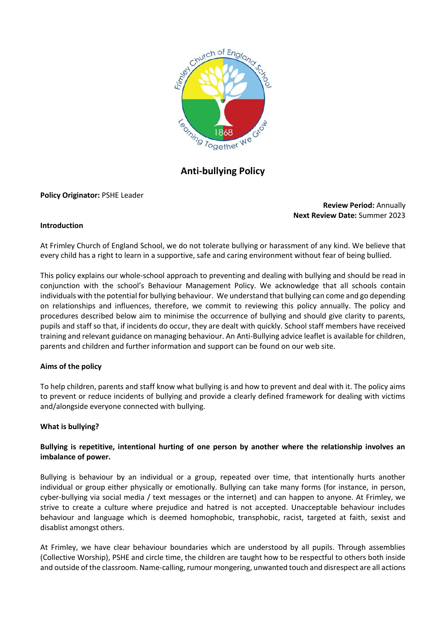

# **Anti-bullying Policy**

**Policy Originator:** PSHE Leader

**Review Period:** Annually **Next Review Date:** Summer 2023

#### **Introduction**

At Frimley Church of England School, we do not tolerate bullying or harassment of any kind. We believe that every child has a right to learn in a supportive, safe and caring environment without fear of being bullied.

This policy explains our whole-school approach to preventing and dealing with bullying and should be read in conjunction with the school's Behaviour Management Policy. We acknowledge that all schools contain individuals with the potential for bullying behaviour. We understand that bullying can come and go depending on relationships and influences, therefore, we commit to reviewing this policy annually. The policy and procedures described below aim to minimise the occurrence of bullying and should give clarity to parents, pupils and staff so that, if incidents do occur, they are dealt with quickly. School staff members have received training and relevant guidance on managing behaviour. An Anti-Bullying advice leaflet is available for children, parents and children and further information and support can be found on our web site.

#### **Aims of the policy**

To help children, parents and staff know what bullying is and how to prevent and deal with it. The policy aims to prevent or reduce incidents of bullying and provide a clearly defined framework for dealing with victims and/alongside everyone connected with bullying.

#### **What is bullying?**

## **Bullying is repetitive, intentional hurting of one person by another where the relationship involves an imbalance of power.**

Bullying is behaviour by an individual or a group, repeated over time, that intentionally hurts another individual or group either physically or emotionally. Bullying can take many forms (for instance, in person, cyber-bullying via social media / text messages or the internet) and can happen to anyone. At Frimley, we strive to create a culture where prejudice and hatred is not accepted. Unacceptable behaviour includes behaviour and language which is deemed homophobic, transphobic, racist, targeted at faith, sexist and disablist amongst others.

At Frimley, we have clear behaviour boundaries which are understood by all pupils. Through assemblies (Collective Worship), PSHE and circle time, the children are taught how to be respectful to others both inside and outside of the classroom. Name-calling, rumour mongering, unwanted touch and disrespect are all actions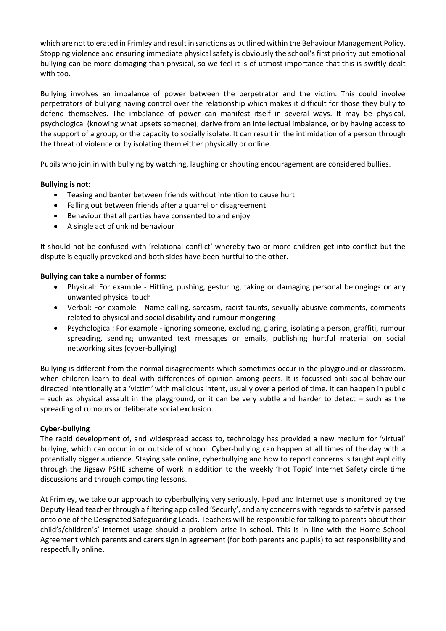which are not tolerated in Frimley and result in sanctions as outlined within the Behaviour Management Policy. Stopping violence and ensuring immediate physical safety is obviously the school's first priority but emotional bullying can be more damaging than physical, so we feel it is of utmost importance that this is swiftly dealt with too.

Bullying involves an imbalance of power between the perpetrator and the victim. This could involve perpetrators of bullying having control over the relationship which makes it difficult for those they bully to defend themselves. The imbalance of power can manifest itself in several ways. It may be physical, psychological (knowing what upsets someone), derive from an intellectual imbalance, or by having access to the support of a group, or the capacity to socially isolate. It can result in the intimidation of a person through the threat of violence or by isolating them either physically or online.

Pupils who join in with bullying by watching, laughing or shouting encouragement are considered bullies.

## **Bullying is not:**

- Teasing and banter between friends without intention to cause hurt
- Falling out between friends after a quarrel or disagreement
- Behaviour that all parties have consented to and enjoy
- A single act of unkind behaviour

It should not be confused with 'relational conflict' whereby two or more children get into conflict but the dispute is equally provoked and both sides have been hurtful to the other.

#### **Bullying can take a number of forms:**

- Physical: For example Hitting, pushing, gesturing, taking or damaging personal belongings or any unwanted physical touch
- Verbal: For example Name-calling, sarcasm, racist taunts, sexually abusive comments, comments related to physical and social disability and rumour mongering
- Psychological: For example ignoring someone, excluding, glaring, isolating a person, graffiti, rumour spreading, sending unwanted text messages or emails, publishing hurtful material on social networking sites (cyber-bullying)

Bullying is different from the normal disagreements which sometimes occur in the playground or classroom, when children learn to deal with differences of opinion among peers. It is focussed anti-social behaviour directed intentionally at a 'victim' with malicious intent, usually over a period of time. It can happen in public – such as physical assault in the playground, or it can be very subtle and harder to detect – such as the spreading of rumours or deliberate social exclusion.

#### **Cyber-bullying**

The rapid development of, and widespread access to, technology has provided a new medium for 'virtual' bullying, which can occur in or outside of school. Cyber-bullying can happen at all times of the day with a potentially bigger audience. Staying safe online, cyberbullying and how to report concerns is taught explicitly through the Jigsaw PSHE scheme of work in addition to the weekly 'Hot Topic' Internet Safety circle time discussions and through computing lessons.

At Frimley, we take our approach to cyberbullying very seriously. I-pad and Internet use is monitored by the Deputy Head teacher through a filtering app called 'Securly', and any concerns with regards to safety is passed onto one of the Designated Safeguarding Leads. Teachers will be responsible for talking to parents about their child's/children's' internet usage should a problem arise in school. This is in line with the Home School Agreement which parents and carers sign in agreement (for both parents and pupils) to act responsibility and respectfully online.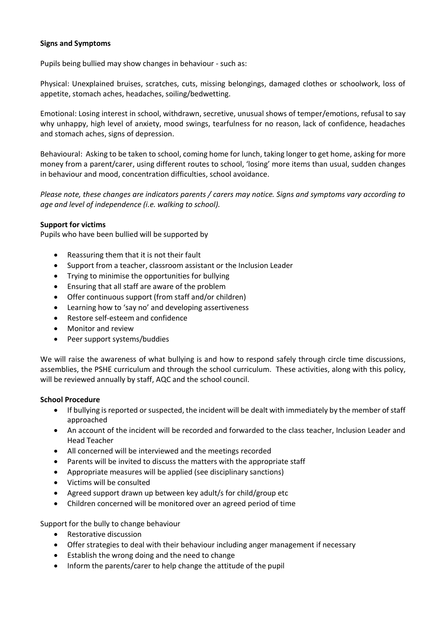## **Signs and Symptoms**

Pupils being bullied may show changes in behaviour - such as:

Physical: Unexplained bruises, scratches, cuts, missing belongings, damaged clothes or schoolwork, loss of appetite, stomach aches, headaches, soiling/bedwetting.

Emotional: Losing interest in school, withdrawn, secretive, unusual shows of temper/emotions, refusal to say why unhappy, high level of anxiety, mood swings, tearfulness for no reason, lack of confidence, headaches and stomach aches, signs of depression.

Behavioural: Asking to be taken to school, coming home for lunch, taking longer to get home, asking for more money from a parent/carer, using different routes to school, 'losing' more items than usual, sudden changes in behaviour and mood, concentration difficulties, school avoidance.

*Please note, these changes are indicators parents / carers may notice. Signs and symptoms vary according to age and level of independence (i.e. walking to school).*

## **Support for victims**

Pupils who have been bullied will be supported by

- Reassuring them that it is not their fault
- Support from a teacher, classroom assistant or the Inclusion Leader
- Trying to minimise the opportunities for bullying
- Ensuring that all staff are aware of the problem
- Offer continuous support (from staff and/or children)
- Learning how to 'say no' and developing assertiveness
- Restore self-esteem and confidence
- Monitor and review
- Peer support systems/buddies

We will raise the awareness of what bullying is and how to respond safely through circle time discussions, assemblies, the PSHE curriculum and through the school curriculum. These activities, along with this policy, will be reviewed annually by staff, AQC and the school council.

#### **School Procedure**

- If bullying is reported or suspected, the incident will be dealt with immediately by the member of staff approached
- An account of the incident will be recorded and forwarded to the class teacher, Inclusion Leader and Head Teacher
- All concerned will be interviewed and the meetings recorded
- Parents will be invited to discuss the matters with the appropriate staff
- Appropriate measures will be applied (see disciplinary sanctions)
- Victims will be consulted
- Agreed support drawn up between key adult/s for child/group etc
- Children concerned will be monitored over an agreed period of time

Support for the bully to change behaviour

- Restorative discussion
- Offer strategies to deal with their behaviour including anger management if necessary
- Establish the wrong doing and the need to change
- Inform the parents/carer to help change the attitude of the pupil